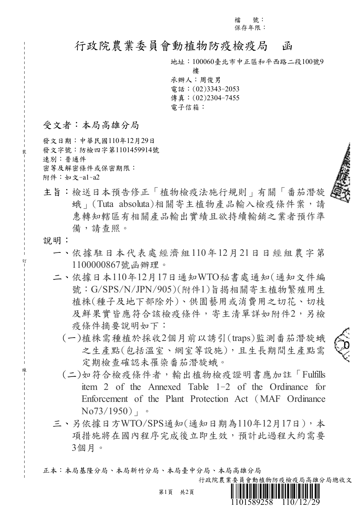檔 號: 保存年限:

# 行政院農業委員會動植物防疫檢疫局 函

地址:100060臺北市中正區和平西路二段100號9

樓 承辦人:周俊男 電話:(02)3343-2053 傳真:(02)2304-7455 電子信箱:

受文者:本局高雄分局

發文日期:中華民國110年12月29日 發文字號:防檢四字第1101459914號 速別:普通件 密等及解密條件或保密期限: 附件:如文-a1~a2



 $\mathfrak{g}$ 

- 主旨:檢送日本預告修正「植物檢疫法施行規則」有關「番茄潛旋 蛾」(Tuta absoluta)相關寄主植物產品輸入檢疫條件案,請 惠轉知轄區有相關產品輸出實績且欲持續輸銷之業者預作準 備,請查照。
- 說明:

裝

訂

線

- 一、依據駐日本代表處經濟組110年12月21日日經組農字第 1100000867號函辦理。
- 二、依據日本110年12月17日通知WTO秘書處通知(通知文件編 號: G/SPS/N/JPN/905)(附件1)旨揭相關寄主植物繁殖用生 植株(種子及地下部除外)、供園藝用或消費用之切花、切枝 及鮮果實皆應符合該檢疫條件,寄主清單詳如附件2,另檢 疫條件摘要說明如下:
	- (一)植株需種植於採收2個月前以誘引(traps)監測番茄潛旋蛾 之生產點(包括溫室、網室等設施),且生長期間生產點需 定期檢查確認未罹染番茄潛旋蛾。
	- (二)如符合檢疫條件者,輸出植物檢疫證明書應加註「Fulfills item 2 of the Annexed Table 1-2 of the Ordinance for Enforcement of the Plant Protection Act (MAF Ordinance  $No73/1950$
- 三、另依據日方WTO/SPS通知(通知日期為110年12月17日),本 項措施將在國內程序完成後立即生效,預計此過程大約需要 3個月。

正本:本局基隆分局、本局新竹分局、本局臺中分局、本局高雄分局

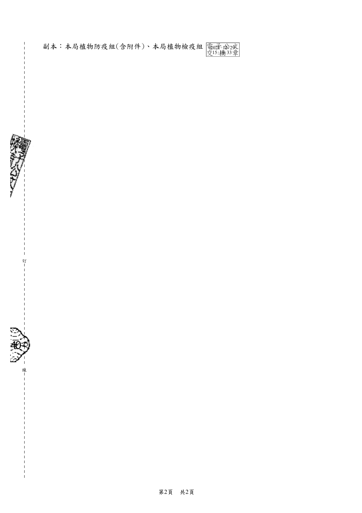副本:本局植物防疫組(含附件)、本局植物檢疫組 電0近 12-29 15:19:33





訂

 $\mathbf{I}$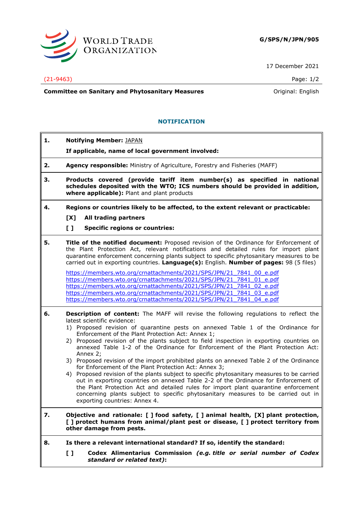

17 December 2021

#### (21-9463) Page: 1/2

**Committee on Sanitary and Phytosanitary Measures Committee on Sanitary and Phytosanitary Measures Committee on Sanitary and Phytosanitary Measures** 

#### **NOTIFICATION**

| 1. | <b>Notifying Member: JAPAN</b><br>If applicable, name of local government involved:                                                                                                                                                                                                                                                                                                                                                                                                                                                                                                                                                                                                                                                                                                                                                                                                                                                                                                                                     |
|----|-------------------------------------------------------------------------------------------------------------------------------------------------------------------------------------------------------------------------------------------------------------------------------------------------------------------------------------------------------------------------------------------------------------------------------------------------------------------------------------------------------------------------------------------------------------------------------------------------------------------------------------------------------------------------------------------------------------------------------------------------------------------------------------------------------------------------------------------------------------------------------------------------------------------------------------------------------------------------------------------------------------------------|
| 2. | Agency responsible: Ministry of Agriculture, Forestry and Fisheries (MAFF)                                                                                                                                                                                                                                                                                                                                                                                                                                                                                                                                                                                                                                                                                                                                                                                                                                                                                                                                              |
| з. | Products covered (provide tariff item number(s) as specified in national<br>schedules deposited with the WTO; ICS numbers should be provided in addition,<br>where applicable): Plant and plant products                                                                                                                                                                                                                                                                                                                                                                                                                                                                                                                                                                                                                                                                                                                                                                                                                |
| 4. | Regions or countries likely to be affected, to the extent relevant or practicable:                                                                                                                                                                                                                                                                                                                                                                                                                                                                                                                                                                                                                                                                                                                                                                                                                                                                                                                                      |
|    | All trading partners<br>[X]                                                                                                                                                                                                                                                                                                                                                                                                                                                                                                                                                                                                                                                                                                                                                                                                                                                                                                                                                                                             |
|    | $\mathbf{L}$<br><b>Specific regions or countries:</b>                                                                                                                                                                                                                                                                                                                                                                                                                                                                                                                                                                                                                                                                                                                                                                                                                                                                                                                                                                   |
| 5. | Title of the notified document: Proposed revision of the Ordinance for Enforcement of<br>the Plant Protection Act, relevant notifications and detailed rules for import plant<br>quarantine enforcement concerning plants subject to specific phytosanitary measures to be<br>carried out in exporting countries. Language(s): English. Number of pages: 98 (5 files)                                                                                                                                                                                                                                                                                                                                                                                                                                                                                                                                                                                                                                                   |
|    | https://members.wto.org/crnattachments/2021/SPS/JPN/21 7841 00 e.pdf<br>https://members.wto.org/crnattachments/2021/SPS/JPN/21 7841 01 e.pdf<br>https://members.wto.org/crnattachments/2021/SPS/JPN/21 7841 02 e.pdf<br>https://members.wto.org/crnattachments/2021/SPS/JPN/21 7841 03 e.pdf<br>https://members.wto.org/crnattachments/2021/SPS/JPN/21 7841 04 e.pdf                                                                                                                                                                                                                                                                                                                                                                                                                                                                                                                                                                                                                                                    |
| 6. | <b>Description of content:</b> The MAFF will revise the following regulations to reflect the<br>latest scientific evidence:<br>1) Proposed revision of quarantine pests on annexed Table 1 of the Ordinance for<br>Enforcement of the Plant Protection Act: Annex 1;<br>2) Proposed revision of the plants subject to field inspection in exporting countries on<br>annexed Table 1-2 of the Ordinance for Enforcement of the Plant Protection Act:<br>Annex 2;<br>3) Proposed revision of the import prohibited plants on annexed Table 2 of the Ordinance<br>for Enforcement of the Plant Protection Act: Annex 3;<br>4) Proposed revision of the plants subject to specific phytosanitary measures to be carried<br>out in exporting countries on annexed Table 2-2 of the Ordinance for Enforcement of<br>the Plant Protection Act and detailed rules for import plant quarantine enforcement<br>concerning plants subject to specific phytosanitary measures to be carried out in<br>exporting countries: Annex 4. |
| 7. | Objective and rationale: [ ] food safety, [ ] animal health, [X] plant protection,<br>[] protect humans from animal/plant pest or disease, [] protect territory from<br>other damage from pests.                                                                                                                                                                                                                                                                                                                                                                                                                                                                                                                                                                                                                                                                                                                                                                                                                        |
| 8. | Is there a relevant international standard? If so, identify the standard:                                                                                                                                                                                                                                                                                                                                                                                                                                                                                                                                                                                                                                                                                                                                                                                                                                                                                                                                               |
|    | Codex Alimentarius Commission (e.g. title or serial number of Codex<br>$\mathbf{I}$<br>standard or related text):                                                                                                                                                                                                                                                                                                                                                                                                                                                                                                                                                                                                                                                                                                                                                                                                                                                                                                       |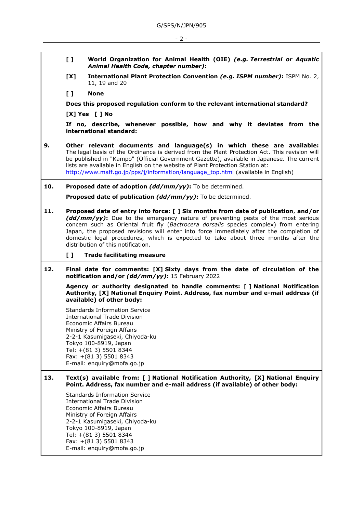- **[ ] World Organization for Animal Health (OIE)** *(e.g. Terrestrial or Aquatic Animal Health Code, chapter number)***:**
- **[X] International Plant Protection Convention** *(e.g. ISPM number)***:** ISPM No. 2, 11, 19 and 20

**[ ] None**

**Does this proposed regulation conform to the relevant international standard?** 

**[X] Yes [ ] No**

**If no, describe, whenever possible, how and why it deviates from the international standard:**

**9. Other relevant documents and language(s) in which these are available:** The legal basis of the Ordinance is derived from the Plant Protection Act. This revision will be published in "Kampo" (Official Government Gazette), available in Japanese. The current lists are available in English on the website of Plant Protection Station at: [http://www.maff.go.jp/pps/j/information/language\\_top.html](http://www.maff.go.jp/pps/j/information/language_top.html) (available in English)

**10. Proposed date of adoption** *(dd/mm/yy)***:** To be determined.

**Proposed date of publication** *(dd/mm/yy)***:** To be determined.

- **11. Proposed date of entry into force: [ ] Six months from date of publication**, **and/or** *(dd/mm/yy)***:** Due to the emergency nature of preventing pests of the most serious concern such as Oriental fruit fly (*Bactrocera dorsalis* species complex) from entering Japan, the proposed revisions will enter into force immediately after the completion of domestic legal procedures, which is expected to take about three months after the distribution of this notification.
	- **[ ] Trade facilitating measure**
- **12. Final date for comments: [X] Sixty days from the date of circulation of the notification and/or** *(dd/mm/yy)***:** 15 February 2022

**Agency or authority designated to handle comments: [ ] National Notification Authority, [X] National Enquiry Point. Address, fax number and e-mail address (if available) of other body:**

Standards Information Service International Trade Division Economic Affairs Bureau Ministry of Foreign Affairs 2-2-1 Kasumigaseki, Chiyoda-ku Tokyo 100-8919, Japan Tel: +(81 3) 5501 8344 Fax: +(81 3) 5501 8343 E-mail: enquiry@mofa.go.jp

**13. Text(s) available from: [ ] National Notification Authority, [X] National Enquiry Point. Address, fax number and e-mail address (if available) of other body:**

Standards Information Service International Trade Division Economic Affairs Bureau Ministry of Foreign Affairs 2-2-1 Kasumigaseki, Chiyoda-ku Tokyo 100-8919, Japan Tel: +(81 3) 5501 8344 Fax: +(81 3) 5501 8343 E-mail: enquiry@mofa.go.jp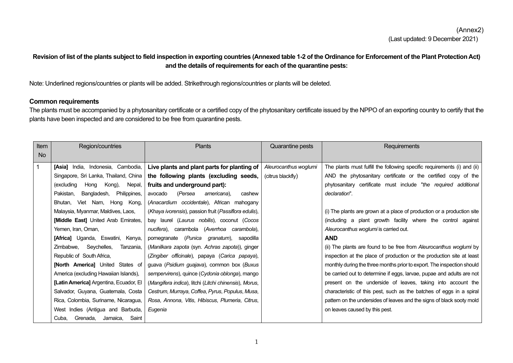# (Annex2) (Last updated: 9 December 2021)

# **Revision of list of the plants subject to field inspection in exporting countries (Annexed table 1-2 of the Ordinance for Enforcement of the Plant Protection Act) and the details of requirements for each of the quarantine pests:**

Note: Underlined regions/countries or plants will be added. Strikethrough regions/countries or plants will be deleted.

### **Common requirements**

The plants must be accompanied by a phytosanitary certificate or a certified copy of the phytosanitary certificate issued by the NPPO of an exporting country to certify that the plants have been inspected and are considered to be free from quarantine pests.

| <b>Item</b> | Region/countries                         | <b>Plants</b>                                         | Quarantine pests      | Requirements                                                             |
|-------------|------------------------------------------|-------------------------------------------------------|-----------------------|--------------------------------------------------------------------------|
| <b>No</b>   |                                          |                                                       |                       |                                                                          |
| 1           | [Asia] India, Indonesia, Cambodia,       | Live plants and plant parts for planting of           | Aleurocanthus woglumi | The plants must fulfill the following specific requirements (i) and (ii) |
|             | Singapore, Sri Lanka, Thailand, China    | the following plants (excluding seeds,                | (citrus blackfly)     | AND the phytosanitary certificate or the certified copy of the           |
|             | (excluding<br>Hong Kong),<br>Nepal,      | fruits and underground part):                         |                       | phytosanitary certificate must include "the required additional          |
|             | Bangladesh,<br>Philippines,<br>Pakistan. | (Persea<br>americana).<br>avocado<br>cashew           |                       | declaration".                                                            |
|             | Bhutan, Viet Nam, Hong Kong,             | (Anacardium occidentale), African mahogany            |                       |                                                                          |
|             | Malaysia, Myanmar, Maldives, Laos,       | (Khaya ivorensis), passion fruit (Passiflora edulis), |                       | (i) The plants are grown at a place of production or a production site   |
|             | [Middle East] United Arab Emirates,      | bay laurel (Laurus nobilis), coconut (Cocos           |                       | (including a plant growth facility where the control against             |
|             | Yemen, Iran, Oman,                       | nucifera), carambola (Averrhoa carambola),            |                       | Aleurocanthus woglumi is carried out.                                    |
|             | [Africa] Uganda, Eswatini, Kenya,        | pomegranate (Punica granatum), sapodilla              |                       | <b>AND</b>                                                               |
|             | Zimbabwe, Seychelles,<br>Tanzania.       | (Manilkara zapota (syn. Achras zapota)), ginger       |                       | (ii) The plants are found to be free from Aleurocanthus woglumi by       |
|             | Republic of South Africa,                | (Zingiber officinale), papaya (Carica papaya),        |                       | inspection at the place of production or the production site at least    |
|             | <b>[North America]</b> United States of  | guava (Psidium guajava), common box (Buxus            |                       | monthly during the three months prior to export. The inspection should   |
|             | America (excluding Hawaiian Islands),    | sempervirens), quince (Cydonia oblonga), mango        |                       | be carried out to determine if eggs, larvae, pupae and adults are not    |
|             | [Latin America] Argentina, Ecuador, El   | (Mangifera indica), litchi (Litchi chinensis), Morus, |                       | present on the underside of leaves, taking into account the              |
|             | Salvador, Guyana, Guatemala, Costa       | Cestrum, Murraya, Coffea, Pyrus, Populus, Musa,       |                       | characteristic of this pest, such as the batches of eggs in a spiral     |
|             | Rica, Colombia, Suriname, Nicaragua,     | Rosa, Annona, Vitis, Hibiscus, Plumeria, Citrus,      |                       | pattern on the undersides of leaves and the signs of black sooty mold    |
|             | West Indies (Antigua and Barbuda,        | Eugenia                                               |                       | on leaves caused by this pest.                                           |
|             | Saint<br>Cuba.<br>Grenada,<br>Jamaica,   |                                                       |                       |                                                                          |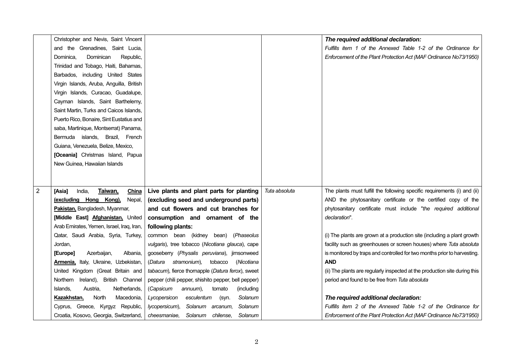|                | Christopher and Nevis, Saint Vincent      |                                                     | The required additional declaration:                                                      |
|----------------|-------------------------------------------|-----------------------------------------------------|-------------------------------------------------------------------------------------------|
|                | and the Grenadines, Saint Lucia,          |                                                     | Fulfills item 1 of the Annexed Table 1-2 of the Ordinance for                             |
|                | Republic,<br>Dominica,<br>Dominican       |                                                     | Enforcement of the Plant Protection Act (MAF Ordinance No73/1950)                         |
|                | Trinidad and Tobago, Haiti, Bahamas,      |                                                     |                                                                                           |
|                | Barbados, including United States         |                                                     |                                                                                           |
|                | Virgin Islands, Aruba, Anguilla, British  |                                                     |                                                                                           |
|                | Virgin Islands, Curacao, Guadalupe,       |                                                     |                                                                                           |
|                | Cayman Islands, Saint Barthelemy,         |                                                     |                                                                                           |
|                | Saint Martin, Turks and Caicos Islands,   |                                                     |                                                                                           |
|                | Puerto Rico, Bonaire, Sint Eustatius and  |                                                     |                                                                                           |
|                | saba, Martinique, Montserrat) Panama,     |                                                     |                                                                                           |
|                | Bermuda islands, Brazil, French           |                                                     |                                                                                           |
|                | Guiana, Venezuela, Belize, Mexico,        |                                                     |                                                                                           |
|                | [Oceania] Christmas Island, Papua         |                                                     |                                                                                           |
|                | New Guinea, Hawaiian Islands              |                                                     |                                                                                           |
|                |                                           |                                                     |                                                                                           |
|                |                                           |                                                     |                                                                                           |
| $\overline{2}$ | India,<br>Taiwan,<br>[Asia]<br>China      | Live plants and plant parts for planting            | Tuta absoluta<br>The plants must fulfill the following specific requirements (i) and (ii) |
|                | (excluding Hong Kong),<br>Nepal,          | (excluding seed and underground parts)              | AND the phytosanitary certificate or the certified copy of the                            |
|                | Pakistan, Bangladesh, Myanmar,            | and cut flowers and cut branches for                | phytosanitary certificate must include "the required additional                           |
|                | [Middle East] Afghanistan, United         | consumption and ornament of the                     | declaration".                                                                             |
|                | Arab Emirates, Yemen, Israel, Iraq, Iran, | following plants:                                   |                                                                                           |
|                | Qatar, Saudi Arabia, Syria, Turkey,       | common bean (kidney bean) (Phaseolus                | (i) The plants are grown at a production site (including a plant growth                   |
|                | Jordan,                                   | vulgaris), tree tobacco (Nicotiana glauca), cape    | facility such as greenhouses or screen houses) where Tuta absoluta                        |
|                | Albania,<br>Azerbaijan,<br>[Europe]       | gooseberry (Physalis peruviana), jimsonweed         | is monitored by traps and controlled for two months prior to harvesting.                  |
|                | Armenia, Italy, Ukraine, Uzbekistan,      | (Datura<br>stramonium),<br>tobacco<br>(Nicotiana    | <b>AND</b>                                                                                |
|                | United Kingdom (Great Britain and         | tabacum), fierce thornapple (Datura ferox), sweet   | (ii) The plants are regularly inspected at the production site during this                |
|                | Northern<br>Ireland), British Channel     | pepper (chili pepper, shishito pepper, bell pepper) | period and found to be free from Tuta absoluta                                            |
|                | Islands,<br>Austria,<br>Netherlands,      | (Capsicum<br>annuum),<br>tomato<br>(including       |                                                                                           |
|                | Kazakhstan,<br>North<br>Macedonia,        | esculentum<br>Solanum<br>Lycopersicon<br>(syn.      | The required additional declaration:                                                      |
|                | Cyprus, Greece, Kyrgyz Republic,          | Solanum arcanum,<br>Solanum<br>lycopersicum),       | Fulfills item 2 of the Annexed Table 1-2 of the Ordinance for                             |
|                | Croatia, Kosovo, Georgia, Switzerland,    | Solanum chilense,<br>Solanum<br>cheesmaniae,        | Enforcement of the Plant Protection Act (MAF Ordinance No73/1950)                         |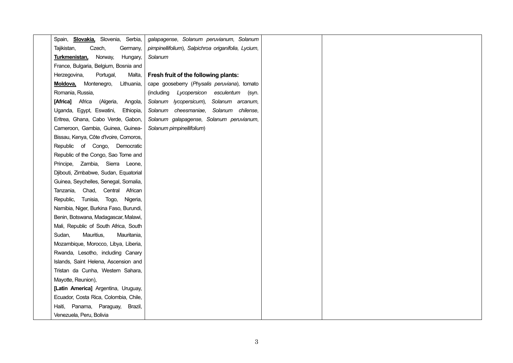| Spain, <b>Slovakia</b> , Slovenia, Serbia, | galapagense, Solanum peruvianum, Solanum            |  |
|--------------------------------------------|-----------------------------------------------------|--|
| Tajikistan,<br>Czech,<br>Germany,          | pimpinellifolium), Salpichroa origanifolia, Lycium, |  |
| Hungary,<br>Turkmenistan,<br>Norway,       | Solanum                                             |  |
| France, Bulgaria, Belgium, Bosnia and      |                                                     |  |
| Herzegovina,<br>Portugal,<br>Malta,        | Fresh fruit of the following plants:                |  |
| Montenegro,<br>Lithuania,<br>Moldova,      | cape gooseberry (Physalis peruviana), tomato        |  |
| Romania, Russia,                           | (including Lycopersicon esculentum<br>(syn.         |  |
| [Africa] Africa (Algeria,<br>Angola,       | Solanum lycopersicum), Solanum arcanum,             |  |
| Uganda, Egypt, Eswatini,<br>Ethiopia,      | Solanum cheesmaniae, Solanum chilense,              |  |
| Eritrea, Ghana, Cabo Verde, Gabon,         | Solanum galapagense, Solanum peruvianum,            |  |
| Cameroon, Gambia, Guinea, Guinea-          | Solanum pimpinellifolium)                           |  |
| Bissau, Kenya, Côte d'Ivoire, Comoros,     |                                                     |  |
| Republic of Congo, Democratic              |                                                     |  |
| Republic of the Congo, Sao Tome and        |                                                     |  |
| Principe, Zambia, Sierra Leone,            |                                                     |  |
| Djibouti, Zimbabwe, Sudan, Equatorial      |                                                     |  |
| Guinea, Seychelles, Senegal, Somalia,      |                                                     |  |
| Tanzania, Chad, Central African            |                                                     |  |
| Republic, Tunisia, Togo, Nigeria,          |                                                     |  |
| Namibia, Niger, Burkina Faso, Burundi,     |                                                     |  |
| Benin, Botswana, Madagascar, Malawi,       |                                                     |  |
| Mali, Republic of South Africa, South      |                                                     |  |
| Sudan,<br>Mauritius,<br>Mauritania,        |                                                     |  |
| Mozambique, Morocco, Libya, Liberia,       |                                                     |  |
| Rwanda, Lesotho, including Canary          |                                                     |  |
| Islands, Saint Helena, Ascension and       |                                                     |  |
| Tristan da Cunha, Western Sahara,          |                                                     |  |
| Mayotte, Reunion),                         |                                                     |  |
| [Latin America] Argentina, Uruguay,        |                                                     |  |
| Ecuador, Costa Rica, Colombia, Chile,      |                                                     |  |
| Haiti, Panama, Paraguay,<br>Brazil,        |                                                     |  |
| Venezuela, Peru, Bolivia                   |                                                     |  |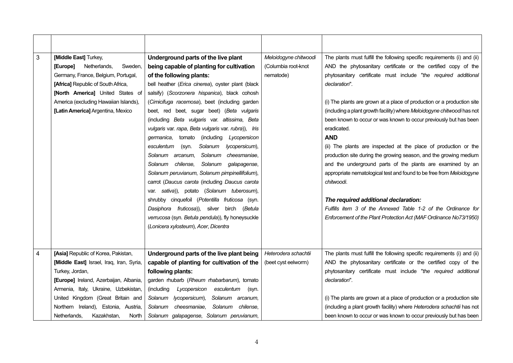| 3 | [Middle East] Turkey,<br>[Europe]<br>Netherlands,<br>Sweden.<br>Germany, France, Belgium, Portugal,<br>[Africa] Republic of South Africa,<br>[North America] United States of<br>America (excluding Hawaiian Islands),<br>[Latin America] Argentina, Mexico | Underground parts of the live plant<br>being capable of planting for cultivation<br>of the following plants:<br>bell heather (Erica cinerea), oyster plant (black<br>salsify) (Scorzonera hispanica), black cohosh<br>(Cimicifuga racemosa), beet (including garden<br>beet, red beet, sugar beet) (Beta vulgaris<br>(including Beta vulgaris var. altissima, Beta<br>vulgaris var. rapa, Beta vulgaris var. rubra)), Iris<br>germanica,<br>tomato<br>(including<br>Lycopersicon<br>Solanum<br>esculentum<br>lycopersicum),<br>(syn.<br>Solanum cheesmaniae,<br>Solanum arcanum,<br>Solanum chilense,<br>Solanum galapagense,<br>Solanum peruvianum, Solanum pimpinellifolium),<br>carrot (Daucus carota (including Daucus carota<br>var. sativa)), potato (Solanum tuberosum), | Meloidogyne chitwoodi<br>(Columbia root-knot<br>nematode) | The plants must fulfill the following specific requirements (i) and (ii)<br>AND the phytosanitary certificate or the certified copy of the<br>phytosanitary certificate must include "the required additional<br>declaration".<br>(i) The plants are grown at a place of production or a production site<br>(including a plant growth facility) where Meloidogyne chitwoodi has not<br>been known to occur or was known to occur previously but has been<br>eradicated.<br><b>AND</b><br>(ii) The plants are inspected at the place of production or the<br>production site during the growing season, and the growing medium<br>and the underground parts of the plants are examined by an<br>appropriate nematological test and found to be free from Meloidogyne<br>chitwoodi. |
|---|-------------------------------------------------------------------------------------------------------------------------------------------------------------------------------------------------------------------------------------------------------------|---------------------------------------------------------------------------------------------------------------------------------------------------------------------------------------------------------------------------------------------------------------------------------------------------------------------------------------------------------------------------------------------------------------------------------------------------------------------------------------------------------------------------------------------------------------------------------------------------------------------------------------------------------------------------------------------------------------------------------------------------------------------------------|-----------------------------------------------------------|-----------------------------------------------------------------------------------------------------------------------------------------------------------------------------------------------------------------------------------------------------------------------------------------------------------------------------------------------------------------------------------------------------------------------------------------------------------------------------------------------------------------------------------------------------------------------------------------------------------------------------------------------------------------------------------------------------------------------------------------------------------------------------------|
|   |                                                                                                                                                                                                                                                             | shrubby cinquefoil (Potentilla fruticosa (syn.<br>Dasiphora fruticosa)), silver birch (Betula<br>verrucosa (syn. Betula pendula)), fly honeysuckle<br>(Lonicera xylosteum), Acer, Dicentra                                                                                                                                                                                                                                                                                                                                                                                                                                                                                                                                                                                      |                                                           | The required additional declaration:<br>Fulfills item 3 of the Annexed Table 1-2 of the Ordinance for<br>Enforcement of the Plant Protection Act (MAF Ordinance No73/1950)                                                                                                                                                                                                                                                                                                                                                                                                                                                                                                                                                                                                        |
| 4 | [Asia] Republic of Korea, Pakistan,                                                                                                                                                                                                                         | Underground parts of the live plant being                                                                                                                                                                                                                                                                                                                                                                                                                                                                                                                                                                                                                                                                                                                                       | Heterodera schachtii                                      | The plants must fulfill the following specific requirements (i) and (ii)                                                                                                                                                                                                                                                                                                                                                                                                                                                                                                                                                                                                                                                                                                          |
|   | [Middle East] Israel, Iraq, Iran, Syria,                                                                                                                                                                                                                    | capable of planting for cultivation of the                                                                                                                                                                                                                                                                                                                                                                                                                                                                                                                                                                                                                                                                                                                                      | (beet cyst eelworm)                                       | AND the phytosanitary certificate or the certified copy of the                                                                                                                                                                                                                                                                                                                                                                                                                                                                                                                                                                                                                                                                                                                    |
|   | Turkey, Jordan,                                                                                                                                                                                                                                             | following plants:                                                                                                                                                                                                                                                                                                                                                                                                                                                                                                                                                                                                                                                                                                                                                               |                                                           | phytosanitary certificate must include "the required additional                                                                                                                                                                                                                                                                                                                                                                                                                                                                                                                                                                                                                                                                                                                   |
|   | [Europe] Ireland, Azerbaijan, Albania,                                                                                                                                                                                                                      | garden rhubarb (Rheum rhabarbarum), tomato                                                                                                                                                                                                                                                                                                                                                                                                                                                                                                                                                                                                                                                                                                                                      |                                                           | declaration".                                                                                                                                                                                                                                                                                                                                                                                                                                                                                                                                                                                                                                                                                                                                                                     |
|   | Armenia, Italy, Ukraine, Uzbekistan,                                                                                                                                                                                                                        | (including<br>Lycopersicon<br>esculentum<br>(syn.                                                                                                                                                                                                                                                                                                                                                                                                                                                                                                                                                                                                                                                                                                                               |                                                           |                                                                                                                                                                                                                                                                                                                                                                                                                                                                                                                                                                                                                                                                                                                                                                                   |
|   | United Kingdom (Great Britain and                                                                                                                                                                                                                           | Solanum arcanum,<br>Solanum lycopersicum),                                                                                                                                                                                                                                                                                                                                                                                                                                                                                                                                                                                                                                                                                                                                      |                                                           | (i) The plants are grown at a place of production or a production site                                                                                                                                                                                                                                                                                                                                                                                                                                                                                                                                                                                                                                                                                                            |
|   | Northern Ireland), Estonia, Austria,                                                                                                                                                                                                                        | cheesmaniae,<br>Solanum<br>chilense,<br>Solanum                                                                                                                                                                                                                                                                                                                                                                                                                                                                                                                                                                                                                                                                                                                                 |                                                           | (including a plant growth facility) where Heterodera schachtii has not                                                                                                                                                                                                                                                                                                                                                                                                                                                                                                                                                                                                                                                                                                            |
|   | Netherlands,<br>Kazakhstan,<br>North                                                                                                                                                                                                                        | Solanum galapagense, Solanum peruvianum,                                                                                                                                                                                                                                                                                                                                                                                                                                                                                                                                                                                                                                                                                                                                        |                                                           | been known to occur or was known to occur previously but has been                                                                                                                                                                                                                                                                                                                                                                                                                                                                                                                                                                                                                                                                                                                 |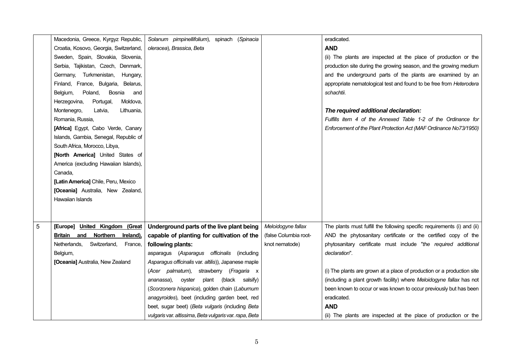|   | Macedonia, Greece, Kyrgyz Republic,     | Solanum pimpinellifolium), spinach (Spinacia           |                       | eradicated.                                                              |
|---|-----------------------------------------|--------------------------------------------------------|-----------------------|--------------------------------------------------------------------------|
|   | Croatia, Kosovo, Georgia, Switzerland,  | oleracea), Brassica, Beta                              |                       | <b>AND</b>                                                               |
|   | Sweden, Spain, Slovakia, Slovenia,      |                                                        |                       | (ii) The plants are inspected at the place of production or the          |
|   | Serbia, Tajikistan, Czech, Denmark,     |                                                        |                       | production site during the growing season, and the growing medium        |
|   | Germany, Turkmenistan,<br>Hungary,      |                                                        |                       | and the underground parts of the plants are examined by an               |
|   | Finland, France, Bulgaria, Belarus,     |                                                        |                       | appropriate nematological test and found to be free from Heterodera      |
|   | Bosnia<br>Belgium,<br>Poland,<br>and    |                                                        |                       | schachtii.                                                               |
|   | Portugal,<br>Herzegovina,<br>Moldova,   |                                                        |                       |                                                                          |
|   | Montenegro,<br>Latvia,<br>Lithuania,    |                                                        |                       | The required additional declaration:                                     |
|   | Romania, Russia,                        |                                                        |                       | Fulfills item 4 of the Annexed Table 1-2 of the Ordinance for            |
|   | [Africa] Egypt, Cabo Verde, Canary      |                                                        |                       | Enforcement of the Plant Protection Act (MAF Ordinance No73/1950)        |
|   | Islands, Gambia, Senegal, Republic of   |                                                        |                       |                                                                          |
|   | South Africa, Morocco, Libya,           |                                                        |                       |                                                                          |
|   | [North America] United States of        |                                                        |                       |                                                                          |
|   | America (excluding Hawaiian Islands),   |                                                        |                       |                                                                          |
|   | Canada,                                 |                                                        |                       |                                                                          |
|   | [Latin America] Chile, Peru, Mexico     |                                                        |                       |                                                                          |
|   | [Oceania] Australia, New Zealand,       |                                                        |                       |                                                                          |
|   | Hawaiian Islands                        |                                                        |                       |                                                                          |
|   |                                         |                                                        |                       |                                                                          |
|   |                                         |                                                        |                       |                                                                          |
| 5 | [Europe] United Kingdom (Great          | Underground parts of the live plant being              | Meloidogyne fallax    | The plants must fulfill the following specific requirements (i) and (ii) |
|   | Britain and<br>Northern<br>Ireland),    | capable of planting for cultivation of the             | (false Columbia root- | AND the phytosanitary certificate or the certified copy of the           |
|   | Netherlands,<br>Switzerland,<br>France, | following plants:                                      | knot nematode)        | phytosanitary certificate must include "the required additional          |
|   | Belgium,                                | asparagus (Asparagus officinalis (including            |                       | declaration".                                                            |
|   | [Oceania] Australia, New Zealand        | Asparagus officinalis var. altilis)), Japanese maple   |                       |                                                                          |
|   |                                         | (Acer palmatum), strawberry (Fragaria x                |                       | (i) The plants are grown at a place of production or a production site   |
|   |                                         | oyster<br>plant (black salsify)<br>ananassa).          |                       | (including a plant growth facility) where Meloidogyne fallax has not     |
|   |                                         | (Scorzonera hispanica), golden chain (Laburnum         |                       | been known to occur or was known to occur previously but has been        |
|   |                                         | anagyroides), beet (including garden beet, red         |                       | eradicated.                                                              |
|   |                                         | beet, sugar beet) (Beta vulgaris (including Beta       |                       | <b>AND</b>                                                               |
|   |                                         | vulgaris var. altissima, Beta vulgaris var. rapa, Beta |                       | (ii) The plants are inspected at the place of production or the          |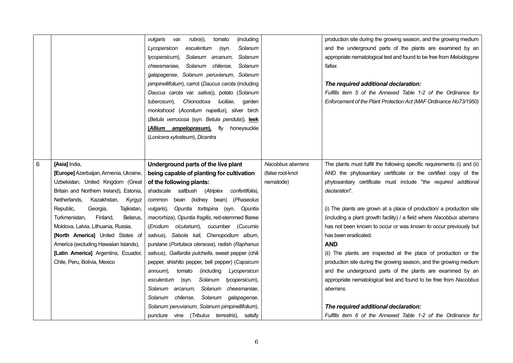|   |                                                                                                                                                                                                                                                                                                                                                                                                                                                              | (including<br>rubra)),<br>vulgaris<br>var.<br>tomato<br>Lycopersicon<br>esculentum<br>(syn.<br>Solanum<br>Solanum arcanum,<br>Solanum<br>lycopersicum),<br>cheesmaniae.<br>Solanum<br>chilense,<br>Solanum<br>galapagense, Solanum peruvianum, Solanum<br>pimpinellifolium), carrot (Daucus carota (including<br>Daucus carota var. sativa)), potato (Solanum<br>tuberosum),<br>Chionodoxa<br>luciliae,<br>garden<br>monkshood (Aconitum napellus), silver birch<br>(Betula verrucosa (syn. Betula pendula)), leek<br>(Allium ampeloprasum), fly honeysuckle<br>(Lonicera xylosteum), Dicentra                                                                                                                                                                                                                                                                                    |                                                    | production site during the growing season, and the growing medium<br>and the underground parts of the plants are examined by an<br>appropriate nematological test and found to be free from Meloidogyne<br>fallax.<br>The required additional declaration:<br>Fulfills item 5 of the Annexed Table 1-2 of the Ordinance for<br>Enforcement of the Plant Protection Act (MAF Ordinance No73/1950)                                                                                                                                                                                                                                                                                                                                                                                                                                                                                           |
|---|--------------------------------------------------------------------------------------------------------------------------------------------------------------------------------------------------------------------------------------------------------------------------------------------------------------------------------------------------------------------------------------------------------------------------------------------------------------|-----------------------------------------------------------------------------------------------------------------------------------------------------------------------------------------------------------------------------------------------------------------------------------------------------------------------------------------------------------------------------------------------------------------------------------------------------------------------------------------------------------------------------------------------------------------------------------------------------------------------------------------------------------------------------------------------------------------------------------------------------------------------------------------------------------------------------------------------------------------------------------|----------------------------------------------------|--------------------------------------------------------------------------------------------------------------------------------------------------------------------------------------------------------------------------------------------------------------------------------------------------------------------------------------------------------------------------------------------------------------------------------------------------------------------------------------------------------------------------------------------------------------------------------------------------------------------------------------------------------------------------------------------------------------------------------------------------------------------------------------------------------------------------------------------------------------------------------------------|
| 6 | [Asia] India,<br>[Europe] Azerbaijan, Armenia, Ukraine,<br>Uzbekistan, United Kingdom (Great<br>Britain and Northern Ireland), Estonia,<br>Netherlands,<br>Kazakhstan,<br>Kyrgyz<br>Tajikistan,<br>Republic,<br>Georgia,<br>Finland,<br>Turkmenistan,<br>Belarus,<br>Moldova, Latvia, Lithuania, Russia,<br>[North America] United States of<br>America (excluding Hawaiian Islands),<br>[Latin America] Argentina, Ecuador,<br>Chile, Peru, Bolivia, Mexico | Underground parts of the live plant<br>being capable of planting for cultivation<br>of the following plants:<br>shadscale saltbush (Atriplex<br>confertifolia),<br>bean (kidney bean) (Phaseolus<br>common<br>Opuntia tortispina (syn. Opuntia<br>vulgaris),<br>macrorhiza), Opuntia fragilis, red-stemmed filaree<br>(Erodium<br>cicutarium), cucumber (Cucumis<br>sativus), Salsola kali, Chenopodium album,<br>purslane (Portulaca oleracea), radish (Raphanus<br>sativus), Gaillardia pulchella, sweet pepper (chili<br>pepper, shishito pepper, bell pepper) (Capsicum<br>(including<br>annuum),<br>tomato<br>Lycopersicon<br>Solanum<br>lycopersicum),<br>esculentum<br>(syn.<br>Solanum cheesmaniae,<br>Solanum arcanum,<br>Solanum galapagense,<br>chilense,<br>Solanum<br>Solanum peruvianum, Solanum pimpinellifolium),<br>puncture vine (Tribulus terrestris), salsify | Nacobbus aberrans<br>(false root-knot<br>nematode) | The plants must fulfill the following specific requirements (i) and (ii)<br>AND the phytosanitary certificate or the certified copy of the<br>phytosanitary certificate must include "the required additional<br>declaration".<br>(i) The plants are grown at a place of production/ a production site<br>(including a plant growth facility) / a field where Nacobbus aberrans<br>has not been known to occur or was known to occur previously but<br>has been eradicated.<br><b>AND</b><br>(ii) The plants are inspected at the place of production or the<br>production site during the growing season, and the growing medium<br>and the underground parts of the plants are examined by an<br>appropriate nematological test and found to be free from Nacobbus<br>aberrans.<br>The required additional declaration:<br>Fulfills item 6 of the Annexed Table 1-2 of the Ordinance for |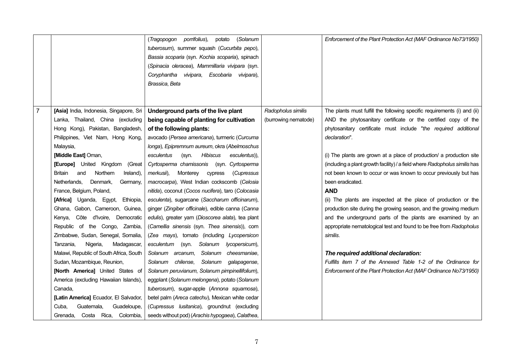|                |                                                   | (Tragopogon porrifolius),<br>potato<br>(Solanum<br>tuberosum), summer squash (Cucurbita pepo),<br>Bassia scoparia (syn. Kochia scoparia), spinach<br>(Spinacia oleracea), Mammillaria vivipara (syn.<br>Coryphantha vivipara, Escobaria vivipara),<br>Brassica, Beta |                      | Enforcement of the Plant Protection Act (MAF Ordinance No73/1950)                                                                                  |
|----------------|---------------------------------------------------|----------------------------------------------------------------------------------------------------------------------------------------------------------------------------------------------------------------------------------------------------------------------|----------------------|----------------------------------------------------------------------------------------------------------------------------------------------------|
| $\overline{7}$ | [Asia] India, Indonesia, Singapore, Sri           | Underground parts of the live plant                                                                                                                                                                                                                                  | Radopholus similis   | The plants must fulfill the following specific requirements (i) and (ii)                                                                           |
|                | Lanka, Thailand, China (excluding                 | being capable of planting for cultivation                                                                                                                                                                                                                            | (burrowing nematode) | AND the phytosanitary certificate or the certified copy of the                                                                                     |
|                | Hong Kong), Pakistan, Bangladesh,                 | of the following plants:                                                                                                                                                                                                                                             |                      | phytosanitary certificate must include "the required additional                                                                                    |
|                | Philippines, Viet Nam, Hong Kong,                 | avocado (Persea americana), turmeric (Curcuma                                                                                                                                                                                                                        |                      | declaration".                                                                                                                                      |
|                | Malaysia,                                         | longa), Epipremnum aureum, okra (Abelmoschus                                                                                                                                                                                                                         |                      |                                                                                                                                                    |
|                | [Middle East] Oman,<br>[Europe] United Kingdom    | <b>Hibiscus</b><br>esculentus<br>(syn.<br>esculentus)),<br>Cyrtosperma chamissonis<br>(syn. Cyrtosperma                                                                                                                                                              |                      | (i) The plants are grown at a place of production/ a production site<br>(including a plant growth facility) / a field where Radopholus similis has |
|                | (Great<br>Northern<br>and<br>Ireland),<br>Britain | merkusii),<br>Monterey<br>(Cupressus                                                                                                                                                                                                                                 |                      | not been known to occur or was known to occur previously but has                                                                                   |
|                | Netherlands.<br>Denmark,<br>Germany,              | cypress<br>macrocarpa), West Indian cockscomb (Celosia                                                                                                                                                                                                               |                      | been eradicated.                                                                                                                                   |
|                | France, Belgium, Poland,                          | nitida), coconut (Cocos nucifera), taro (Colocasia                                                                                                                                                                                                                   |                      | <b>AND</b>                                                                                                                                         |
|                | [Africa] Uganda, Egypt,<br>Ethiopia,              | esculenta), sugarcane (Saccharum officinarum),                                                                                                                                                                                                                       |                      | (ii) The plants are inspected at the place of production or the                                                                                    |
|                | Ghana, Gabon, Cameroon, Guinea,                   | ginger (Zingiber officinale), edible canna (Canna                                                                                                                                                                                                                    |                      | production site during the growing season, and the growing medium                                                                                  |
|                | Côte d'Ivoire, Democratic<br>Kenya,               | edulis), greater yam (Dioscorea alata), tea plant                                                                                                                                                                                                                    |                      | and the underground parts of the plants are examined by an                                                                                         |
|                | Republic of the Congo, Zambia,                    | (Camellia sinensis (syn. Thea sinensis)), corn                                                                                                                                                                                                                       |                      | appropriate nematological test and found to be free from Radopholus                                                                                |
|                | Zimbabwe, Sudan, Senegal, Somalia,                | (Zea mays), tomato (including Lycopersicon                                                                                                                                                                                                                           |                      | similis.                                                                                                                                           |
|                | Tanzania.<br>Nigeria,<br>Madagascar,              | (syn. Solanum<br>esculentum<br>lycopersicum),                                                                                                                                                                                                                        |                      |                                                                                                                                                    |
|                | Malawi, Republic of South Africa, South           | Solanum arcanum,<br>Solanum cheesmaniae,                                                                                                                                                                                                                             |                      | The required additional declaration:                                                                                                               |
|                | Sudan, Mozambique, Reunion,                       | Solanum galapagense,<br>Solanum<br>chilense,                                                                                                                                                                                                                         |                      | Fulfills item 7 of the Annexed Table 1-2 of the Ordinance for                                                                                      |
|                | [North America] United States of                  | Solanum peruvianum, Solanum pimpinellifolium),                                                                                                                                                                                                                       |                      | Enforcement of the Plant Protection Act (MAF Ordinance No73/1950)                                                                                  |
|                | America (excluding Hawaiian Islands),             | eggplant (Solanum melongena), potato (Solanum                                                                                                                                                                                                                        |                      |                                                                                                                                                    |
|                | Canada.                                           | tuberosum), sugar-apple (Annona squamosa),                                                                                                                                                                                                                           |                      |                                                                                                                                                    |
|                | [Latin America] Ecuador, El Salvador,             | betel palm (Areca catechu), Mexican white cedar                                                                                                                                                                                                                      |                      |                                                                                                                                                    |
|                | Cuba,<br>Guatemala,<br>Guadeloupe,                | (Cupressus lusitanica), groundnut (excluding                                                                                                                                                                                                                         |                      |                                                                                                                                                    |
|                | Costa Rica, Colombia,<br>Grenada,                 | seeds without pod) (Arachis hypogaea), Calathea,                                                                                                                                                                                                                     |                      |                                                                                                                                                    |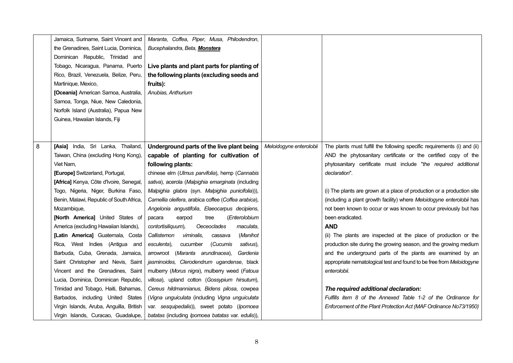|   | Jamaica, Suriname, Saint Vincent and     | Maranta, Coffea, Piper, Musa, Philodendron,         |                         |                                                                          |
|---|------------------------------------------|-----------------------------------------------------|-------------------------|--------------------------------------------------------------------------|
|   | the Grenadines, Saint Lucia, Dominica,   | Bucephalandra, Beta, Monstera                       |                         |                                                                          |
|   | Dominican Republic, Trinidad and         |                                                     |                         |                                                                          |
|   | Tobago, Nicaragua, Panama, Puerto        | Live plants and plant parts for planting of         |                         |                                                                          |
|   | Rico, Brazil, Venezuela, Belize, Peru,   | the following plants (excluding seeds and           |                         |                                                                          |
|   | Martinique, Mexico,                      | fruits):                                            |                         |                                                                          |
|   | [Oceania] American Samoa, Australia,     | Anubias, Anthurium                                  |                         |                                                                          |
|   | Samoa, Tonga, Niue, New Caledonia,       |                                                     |                         |                                                                          |
|   | Norfolk Island (Australia), Papua New    |                                                     |                         |                                                                          |
|   | Guinea, Hawaiian Islands, Fiji           |                                                     |                         |                                                                          |
|   |                                          |                                                     |                         |                                                                          |
|   |                                          |                                                     |                         |                                                                          |
| 8 | [Asia] India, Sri Lanka, Thailand,       | Underground parts of the live plant being           | Meloidogyne enterolobii | The plants must fulfill the following specific requirements (i) and (ii) |
|   | Taiwan, China (excluding Hong Kong),     | capable of planting for cultivation of              |                         | AND the phytosanitary certificate or the certified copy of the           |
|   | Viet Nam,                                | following plants:                                   |                         | phytosanitary certificate must include "the required additional          |
|   | [Europe] Switzerland, Portugal,          | chinese elm (Ulmus parvifolia), hemp (Cannabis      |                         | declaration".                                                            |
|   | [Africa] Kenya, Côte d'Ivoire, Senegal,  | sativa), acerola (Malpighia emarginata (including   |                         |                                                                          |
|   | Togo, Nigeria, Niger, Burkina Faso,      | Malpighia glabra (syn. Malpighia punicifolia))),    |                         | (i) The plants are grown at a place of production or a production site   |
|   | Benin, Malawi, Republic of South Africa, | Camellia oleifera, arabica coffee (Coffea arabica), |                         | (including a plant growth facility) where Meloidogyne enterolobii has    |
|   | Mozambique,                              | Angelonia angustifolia, Elaeocarpus decipiens,      |                         | not been known to occur or was known to occur previously but has         |
|   | [North America] United States of         | (Enterolobium<br>earpod<br>tree<br>pacara           |                         | been eradicated.                                                         |
|   | America (excluding Hawaiian Islands),    | contortisiliquum),<br>Oeceoclades<br>maculata,      |                         | <b>AND</b>                                                               |
|   | [Latin America] Guatemala, Costa         | Callistemon<br>viminalis,<br>(Manihot<br>cassava    |                         | (ii) The plants are inspected at the place of production or the          |
|   | Rica, West Indies (Antigua and           | cucumber<br>esculenta),<br>(Cucumis<br>sativus),    |                         | production site during the growing season, and the growing medium        |
|   | Barbuda, Cuba, Grenada, Jamaica,         | arrowroot (Maranta arundinacea),<br>Gardenia        |                         | and the underground parts of the plants are examined by an               |
|   | Saint Christopher and Nevis, Saint       | jasminoides, Clerodendrum ugandense, black          |                         | appropriate nematological test and found to be free from Meloidogyne     |
|   | Vincent and the Grenadines, Saint        | mulberry (Morus nigra), mulberry weed (Fatoua       |                         | enterolobii.                                                             |
|   | Lucia, Dominica, Dominican Republic,     | villosa), upland cotton (Gossypium hirsutum),       |                         |                                                                          |
|   | Trinidad and Tobago, Haiti, Bahamas,     | Cereus hildmannianus, Bidens pilosa, cowpea         |                         | The required additional declaration:                                     |
|   | Barbados, including United States        | (Vigna unguiculata (including Vigna unguiculata     |                         | Fulfills item 8 of the Annexed Table 1-2 of the Ordinance for            |
|   | Virgin Islands, Aruba, Anguilla, British | var. sesquipedalis)), sweet potato (Ipomoea         |                         | Enforcement of the Plant Protection Act (MAF Ordinance No73/1950)        |
|   | Virgin Islands, Curacao, Guadalupe,      | batatas (including Ipomoea batatas var. edulis)),   |                         |                                                                          |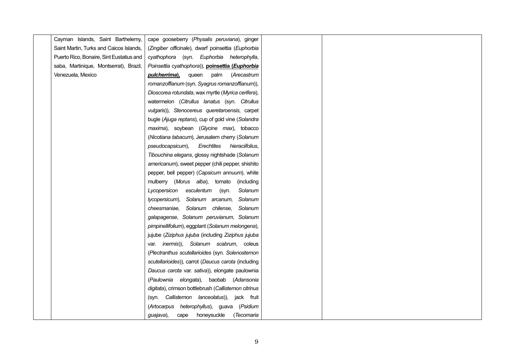| Cayman Islands, Saint Barthelemy,        | cape gooseberry (Physalis peruviana), ginger         |
|------------------------------------------|------------------------------------------------------|
| Saint Martin, Turks and Caicos Islands,  | (Zingiber officinale), dwarf poinsettia (Euphorbia   |
| Puerto Rico, Bonaire, Sint Eustatius and | cyathophora (syn. Euphorbia heterophylla,            |
| saba, Martinique, Montserrat), Brazil,   | Poinsettia cyathophora)), poinsettia (Euphorbia      |
| Venezuela, Mexico                        | pulcherrima),<br>queen palm (Arecastrum              |
|                                          | romanzoffianum (syn. Syagrus romanzoffianum)),       |
|                                          | Dioscorea rotundata, wax myrtle (Myrica cerifera),   |
|                                          | watermelon (Citrullus lanatus (syn. Citrullus        |
|                                          | vulgaris)), Stenocereus queretaroensis, carpet       |
|                                          | bugle (Ajuga reptans), cup of gold vine (Solandra    |
|                                          | maxima), soybean (Glycine max), tobacco              |
|                                          | (Nicotiana tabacum), Jerusalem cherry (Solanum       |
|                                          | pseudocapsicum),<br>Erechtites<br>hieraciifolius,    |
|                                          | Tibouchina elegans, glossy nightshade (Solanum       |
|                                          | americanum), sweet pepper (chili pepper, shishito    |
|                                          | pepper, bell pepper) (Capsicum annuum), white        |
|                                          | mulberry (Morus alba), tomato<br>(including          |
|                                          | Lycopersicon esculentum (syn.<br>Solanum             |
|                                          | lycopersicum), Solanum arcanum, Solanum              |
|                                          | cheesmaniae, Solanum chilense, Solanum               |
|                                          | galapagense, Solanum peruvianum, Solanum             |
|                                          | pimpinellifolium), eggplant (Solanum melongena),     |
|                                          | jujube (Ziziphus jujuba (including Ziziphus jujuba   |
|                                          | var. <i>inermis</i> )), Solanum scabrum, coleus      |
|                                          | (Plectranthus scutellarioides (syn. Solenostemon     |
|                                          | scutellarioides)), carrot (Daucus carota (including  |
|                                          | Daucus carota var. sativa)), elongate paulownia      |
|                                          | (Paulownia elongata), baobab (Adansonia              |
|                                          | digitata), crimson bottlebrush (Callistemon citrinus |
|                                          | (syn. Callistemon lanceolatus)), jack fruit          |
|                                          | (Artocarpus heterophyllus), guava (Psidium           |
|                                          | cape honeysuckle (Tecomaria<br>guajava),             |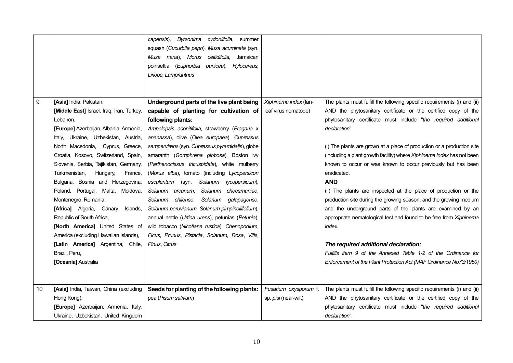|    |                                                    | cydoniifolia, summer<br>capensis),<br>Byrsonima<br>squash (Cucurbita pepo), Musa acuminata (syn.<br>Musa nana), Morus celtidifolia, Jamaican<br>poinsettia (Euphorbia<br>punicea), Hylocereus,<br>Liriope, Lampranthus |                             |                                                                                                       |
|----|----------------------------------------------------|------------------------------------------------------------------------------------------------------------------------------------------------------------------------------------------------------------------------|-----------------------------|-------------------------------------------------------------------------------------------------------|
|    |                                                    |                                                                                                                                                                                                                        |                             |                                                                                                       |
| 9  | [Asia] India, Pakistan,                            | Underground parts of the live plant being                                                                                                                                                                              | Xiphinema index (fan-       | The plants must fulfill the following specific requirements (i) and (ii)                              |
|    | [Middle East] Israel, Iraq, Iran, Turkey,          | capable of planting for cultivation of                                                                                                                                                                                 | leaf virus nematode)        | AND the phytosanitary certificate or the certified copy of the                                        |
|    | Lebanon,                                           | following plants:                                                                                                                                                                                                      |                             | phytosanitary certificate must include "the required additional                                       |
|    | [Europe] Azerbaijan, Albania, Armenia,             | Ampelopsis aconitifolia, strawberry (Fragaria x                                                                                                                                                                        |                             | declaration".                                                                                         |
|    | Italy, Ukraine, Uzbekistan, Austria,               | ananassa), olive (Olea europaea), Cupressus                                                                                                                                                                            |                             |                                                                                                       |
|    | North Macedonia, Cyprus, Greece,                   | sempervirens (syn. Cupressus pyramidalis), globe                                                                                                                                                                       |                             | (i) The plants are grown at a place of production or a production site                                |
|    | Croatia, Kosovo, Switzerland, Spain,               | amaranth (Gomphrena globosa), Boston ivy                                                                                                                                                                               |                             | (including a plant growth facility) where Xiphinema index has not been                                |
|    | Slovenia, Serbia, Tajikistan, Germany,             | (Parthenocissus tricuspidata), white mulberry                                                                                                                                                                          |                             | known to occur or was known to occur previously but has been                                          |
|    | Turkmenistan,<br>Hungary,<br>France,               | (Morus alba), tomato (including Lycopersicon                                                                                                                                                                           |                             | eradicated.                                                                                           |
|    | Bulgaria, Bosnia and Herzegovina,                  | (syn. Solanum<br>esculentum<br>lycopersicum),                                                                                                                                                                          |                             | <b>AND</b>                                                                                            |
|    | Poland, Portugal, Malta, Moldova,                  | Solanum cheesmaniae,<br>Solanum arcanum,                                                                                                                                                                               |                             | (ii) The plants are inspected at the place of production or the                                       |
|    | Montenegro, Romania,                               | Solanum chilense,<br>Solanum galapagense,                                                                                                                                                                              |                             | production site during the growing season, and the growing medium                                     |
|    | [Africa] Algeria, Canary<br>Islands,               | Solanum peruvianum, Solanum pimpinellifolium),                                                                                                                                                                         |                             | and the underground parts of the plants are examined by an                                            |
|    | Republic of South Africa,                          | annual nettle (Urtica urens), petunias (Petunia),                                                                                                                                                                      |                             | appropriate nematological test and found to be free from Xiphinema                                    |
|    | [North America] United States of                   | wild tobacco (Nicotiana rustica), Chenopodium,                                                                                                                                                                         |                             | index.                                                                                                |
|    | America (excluding Hawaiian Islands),              | Ficus, Prunus, Pistacia, Solanum, Rosa, Vitis,                                                                                                                                                                         |                             |                                                                                                       |
|    | [Latin America] Argentina, Chile,<br>Brazil, Peru, | Pinus, Citrus                                                                                                                                                                                                          |                             | The required additional declaration:<br>Fulfills item 9 of the Annexed Table 1-2 of the Ordinance for |
|    | [Oceania] Australia                                |                                                                                                                                                                                                                        |                             | Enforcement of the Plant Protection Act (MAF Ordinance No73/1950)                                     |
|    |                                                    |                                                                                                                                                                                                                        |                             |                                                                                                       |
|    |                                                    |                                                                                                                                                                                                                        |                             |                                                                                                       |
| 10 | [Asia] India, Taiwan, China (excluding             | Seeds for planting of the following plants:                                                                                                                                                                            | Fusarium oxysporum f.       | The plants must fulfill the following specific requirements (i) and (ii)                              |
|    | Hong Kong),                                        | pea (Pisum sativum)                                                                                                                                                                                                    | sp. <i>pisi</i> (near-wilt) | AND the phytosanitary certificate or the certified copy of the                                        |
|    | [Europe] Azerbaijan, Armenia, Italy,               |                                                                                                                                                                                                                        |                             | phytosanitary certificate must include "the required additional                                       |
|    | Ukraine, Uzbekistan, United Kingdom                |                                                                                                                                                                                                                        |                             | declaration".                                                                                         |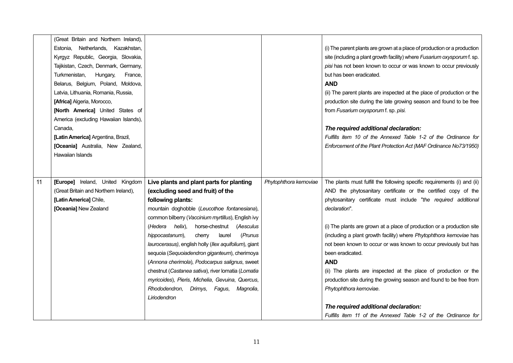|    | (Great Britain and Northern Ireland), |                                                       |                        |                                                                          |
|----|---------------------------------------|-------------------------------------------------------|------------------------|--------------------------------------------------------------------------|
|    | Estonia, Netherlands, Kazakhstan,     |                                                       |                        | (i) The parent plants are grown at a place of production or a production |
|    | Kyrgyz Republic, Georgia, Slovakia,   |                                                       |                        | site (including a plant growth facility) where Fusarium oxysporum f. sp. |
|    | Tajikistan, Czech, Denmark, Germany,  |                                                       |                        | pisi has not been known to occur or was known to occur previously        |
|    | Turkmenistan,<br>Hungary,<br>France,  |                                                       |                        | but has been eradicated.                                                 |
|    | Belarus, Belgium, Poland, Moldova,    |                                                       |                        | <b>AND</b>                                                               |
|    | Latvia, Lithuania, Romania, Russia,   |                                                       |                        | (ii) The parent plants are inspected at the place of production or the   |
|    | [Africa] Algeria, Morocco,            |                                                       |                        | production site during the late growing season and found to be free      |
|    | [North America] United States of      |                                                       |                        | from Fusarium oxysporum f. sp. pisi.                                     |
|    | America (excluding Hawaiian Islands), |                                                       |                        |                                                                          |
|    | Canada,                               |                                                       |                        | The required additional declaration:                                     |
|    | [Latin America] Argentina, Brazil,    |                                                       |                        | Fulfills item 10 of the Annexed Table 1-2 of the Ordinance for           |
|    | [Oceania] Australia, New Zealand,     |                                                       |                        | Enforcement of the Plant Protection Act (MAF Ordinance No73/1950)        |
|    | Hawaiian Islands                      |                                                       |                        |                                                                          |
|    |                                       |                                                       |                        |                                                                          |
|    |                                       |                                                       |                        |                                                                          |
| 11 | [Europe] Ireland, United Kingdom      | Live plants and plant parts for planting              | Phytophthora kernoviae | The plants must fulfill the following specific requirements (i) and (ii) |
|    | (Great Britain and Northern Ireland), | (excluding seed and fruit) of the                     |                        | AND the phytosanitary certificate or the certified copy of the           |
|    | [Latin America] Chile,                | following plants:                                     |                        | phytosanitary certificate must include "the required additional          |
|    | [Oceania] New Zealand                 |                                                       |                        |                                                                          |
|    |                                       | mountain doghobble (Leucothoe fontanesiana),          |                        | declaration".                                                            |
|    |                                       | common bilberry (Vaccinium myrtillus), English ivy    |                        |                                                                          |
|    |                                       | (Hedera helix),<br>horse-chestnut<br>(Aesculus        |                        | (i) The plants are grown at a place of production or a production site   |
|    |                                       | hippocastanum),<br>laurel<br>(Prunus<br>cherry        |                        | (including a plant growth facility) where Phytophthora kernoviae has     |
|    |                                       | laurocerasus), english holly (llex aquifolium), giant |                        | not been known to occur or was known to occur previously but has         |
|    |                                       | sequoia (Sequoiadendron giganteum), cherimoya         |                        | been eradicated.                                                         |
|    |                                       | (Annona cherimola), Podocarpus salignus, sweet        |                        | <b>AND</b>                                                               |
|    |                                       | chestnut (Castanea sativa), river lomatia (Lomatia    |                        | (ii) The plants are inspected at the place of production or the          |
|    |                                       | myricoides), Pieris, Michelia, Gevuina, Quercus,      |                        | production site during the growing season and found to be free from      |
|    |                                       | Rhododendron, Drimys, Fagus,<br>Magnolia,             |                        | Phytophthora kernoviae.                                                  |
|    |                                       | Liriodendron                                          |                        |                                                                          |
|    |                                       |                                                       |                        | The required additional declaration:                                     |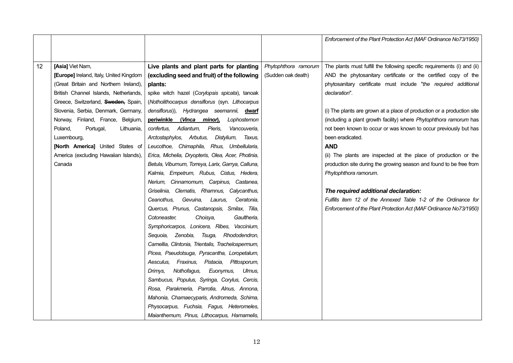|    |                                         |                                                    |                      | Enforcement of the Plant Protection Act (MAF Ordinance No73/1950)        |
|----|-----------------------------------------|----------------------------------------------------|----------------------|--------------------------------------------------------------------------|
|    |                                         |                                                    |                      |                                                                          |
|    |                                         |                                                    |                      |                                                                          |
| 12 | [Asia] Viet Nam,                        | Live plants and plant parts for planting           | Phytophthora ramorum | The plants must fulfill the following specific requirements (i) and (ii) |
|    | [Europe] Ireland, Italy, United Kingdom | (excluding seed and fruit) of the following        | (Sudden oak death)   | AND the phytosanitary certificate or the certified copy of the           |
|    | (Great Britain and Northern Ireland),   | plants:                                            |                      | phytosanitary certificate must include "the required additional          |
|    | British Channel Islands, Netherlands,   | spike witch hazel (Corylopsis spicata), tanoak     |                      | declaration".                                                            |
|    | Greece, Switzerland, Sweden, Spain,     | (Notholithocarpus densiflorus (syn. Lithocarpus    |                      |                                                                          |
|    | Slovenia, Serbia, Denmark, Germany,     | densiflorus)), Hydrangea seemannii, dwarf          |                      | (i) The plants are grown at a place of production or a production site   |
|    | Norway, Finland, France, Belgium,       | periwinkle<br>(Vinca minor),<br>Lophostemon        |                      | (including a plant growth facility) where Phytophthora ramorum has       |
|    | Portugal,<br>Poland,<br>Lithuania,      | confertus, Adiantum,<br>Pieris,<br>Vancouveria.    |                      | not been known to occur or was known to occur previously but has         |
|    | Luxembourg,                             | Distylium, Taxus,<br>Arctostaphylos, Arbutus,      |                      | been eradicated.                                                         |
|    | [North America] United States of        | Leucothoe, Chimaphila, Rhus, Umbellularia,         |                      | <b>AND</b>                                                               |
|    | America (excluding Hawaiian Islands),   | Erica, Michelia, Dryopteris, Olea, Acer, Photinia, |                      | (ii) The plants are inspected at the place of production or the          |
|    | Canada                                  | Betula, Viburnum, Torreya, Larix, Garrya, Calluna, |                      | production site during the growing season and found to be free from      |
|    |                                         | Kalmia, Empetrum, Rubus, Cistus, Hedera,           |                      | Phytophthora ramorum.                                                    |
|    |                                         | Nerium, Cinnamomum, Carpinus, Castanea,            |                      |                                                                          |
|    |                                         | Griselinia, Clematis, Rhamnus, Calycanthus,        |                      | The required additional declaration:                                     |
|    |                                         | Ceanothus,<br>Gevuina,<br>Laurus,<br>Ceratonia,    |                      | Fulfills item 12 of the Annexed Table 1-2 of the Ordinance for           |
|    |                                         | Quercus, Prunus, Castanopsis, Smilax, Tilia,       |                      | Enforcement of the Plant Protection Act (MAF Ordinance No73/1950)        |
|    |                                         | Cotoneaster,<br>Choisya,<br>Gaultheria,            |                      |                                                                          |
|    |                                         | Symphoricarpos, Lonicera, Ribes, Vaccinium,        |                      |                                                                          |
|    |                                         | Sequoia, Zenobia, Tsuga,<br>Rhododendron,          |                      |                                                                          |
|    |                                         | Camellia, Clintonia, Trientalis, Trachelospermum,  |                      |                                                                          |
|    |                                         | Picea, Pseudotsuga, Pyracantha, Loropetalum,       |                      |                                                                          |
|    |                                         | Aesculus, Fraxinus, Pistacia, Pittosporum,         |                      |                                                                          |
|    |                                         | Nothofagus,<br>Euonymus,<br>Ulmus,<br>Drimys.      |                      |                                                                          |
|    |                                         | Sambucus, Populus, Syringa, Corylus, Cercis,       |                      |                                                                          |
|    |                                         | Rosa, Parakmeria, Parrotia, Alnus, Annona,         |                      |                                                                          |
|    |                                         | Mahonia, Chamaecyparis, Andromeda, Schima,         |                      |                                                                          |
|    |                                         | Physocarpus, Fuchsia, Fagus, Heteromeles,          |                      |                                                                          |
|    |                                         | Maianthemum, Pinus, Lithocarpus, Hamamelis,        |                      |                                                                          |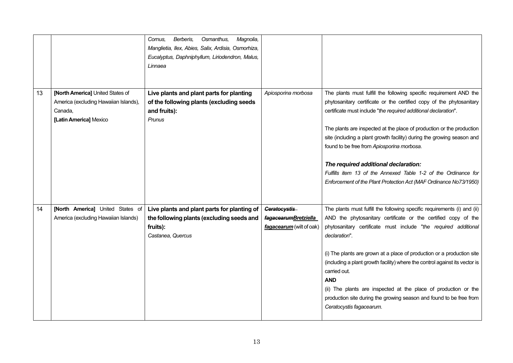|    |                                                                                                                | Berberis,<br>Osmanthus,<br>Magnolia,<br>Cornus.<br>Manglietia, Ilex, Abies, Salix, Ardisia, Osmorhiza,<br>Eucalyptus, Daphniphyllum, Liriodendron, Malus,<br>Linnaea |                                                                  |                                                                                                                                                                                                                                                                                                                                                                                                                                                                                                                                                                                               |
|----|----------------------------------------------------------------------------------------------------------------|----------------------------------------------------------------------------------------------------------------------------------------------------------------------|------------------------------------------------------------------|-----------------------------------------------------------------------------------------------------------------------------------------------------------------------------------------------------------------------------------------------------------------------------------------------------------------------------------------------------------------------------------------------------------------------------------------------------------------------------------------------------------------------------------------------------------------------------------------------|
| 13 | [North America] United States of<br>America (excluding Hawaiian Islands),<br>Canada,<br>[Latin America] Mexico | Live plants and plant parts for planting<br>of the following plants (excluding seeds<br>and fruits):<br>Prunus                                                       | Apiosporina morbosa                                              | The plants must fulfill the following specific requirement AND the<br>phytosanitary certificate or the certified copy of the phytosanitary<br>certificate must include "the required additional declaration".<br>The plants are inspected at the place of production or the production<br>site (including a plant growth facility) during the growing season and<br>found to be free from Apiosporina morbosa.<br>The required additional declaration:<br>Fulfills item 13 of the Annexed Table 1-2 of the Ordinance for<br>Enforcement of the Plant Protection Act (MAF Ordinance No73/1950) |
| 14 | [North America] United States of<br>America (excluding Hawaiian Islands)                                       | Live plants and plant parts for planting of<br>the following plants (excluding seeds and<br>fruits):<br>Castanea, Quercus                                            | Ceratocystis<br>fagacearumBretziella<br>fagacearum (wilt of oak) | The plants must fulfill the following specific requirements (i) and (ii)<br>AND the phytosanitary certificate or the certified copy of the<br>phytosanitary certificate must include "the required additional<br>declaration".<br>(i) The plants are grown at a place of production or a production site<br>(including a plant growth facility) where the control against its vector is<br>carried out.<br><b>AND</b><br>(ii) The plants are inspected at the place of production or the<br>production site during the growing season and found to be free from<br>Ceratocystis fagacearum.   |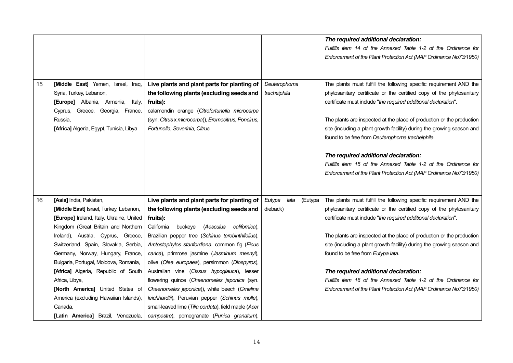|    |                                          |                                                      |                           | The required additional declaration:                                   |
|----|------------------------------------------|------------------------------------------------------|---------------------------|------------------------------------------------------------------------|
|    |                                          |                                                      |                           | Fulfills item 14 of the Annexed Table 1-2 of the Ordinance for         |
|    |                                          |                                                      |                           | Enforcement of the Plant Protection Act (MAF Ordinance No73/1950)      |
|    |                                          |                                                      |                           |                                                                        |
|    |                                          |                                                      |                           |                                                                        |
| 15 | [Middle East] Yemen, Israel, Iraq,       | Live plants and plant parts for planting of          | Deuterophoma              | The plants must fulfill the following specific requirement AND the     |
|    | Syria, Turkey, Lebanon,                  | the following plants (excluding seeds and            | tracheiphila              | phytosanitary certificate or the certified copy of the phytosanitary   |
|    | [Europe] Albania, Armenia,<br>Italy,     | fruits):                                             |                           | certificate must include "the required additional declaration".        |
|    | Cyprus, Greece, Georgia, France,         | calamondin orange (Citrofortunella microcarpa        |                           |                                                                        |
|    | Russia,                                  | (syn. Citrus x microcarpa)), Eremocitrus, Poncirus,  |                           | The plants are inspected at the place of production or the production  |
|    | [Africa] Algeria, Egypt, Tunisia, Libya  | Fortunella, Severinia, Citrus                        |                           | site (including a plant growth facility) during the growing season and |
|    |                                          |                                                      |                           | found to be free from Deuterophoma tracheiphila.                       |
|    |                                          |                                                      |                           |                                                                        |
|    |                                          |                                                      |                           | The required additional declaration:                                   |
|    |                                          |                                                      |                           | Fulfills item 15 of the Annexed Table 1-2 of the Ordinance for         |
|    |                                          |                                                      |                           | Enforcement of the Plant Protection Act (MAF Ordinance No73/1950)      |
|    |                                          |                                                      |                           |                                                                        |
|    |                                          |                                                      |                           |                                                                        |
| 16 | [Asia] India, Pakistan,                  | Live plants and plant parts for planting of          | Eutypa<br>lata<br>(Eutypa | The plants must fulfill the following specific requirement AND the     |
|    | [Middle East] Israel, Turkey, Lebanon,   | the following plants (excluding seeds and            | dieback)                  | phytosanitary certificate or the certified copy of the phytosanitary   |
|    | [Europe] Ireland, Italy, Ukraine, United | fruits):                                             |                           | certificate must include "the required additional declaration".        |
|    | Kingdom (Great Britain and Northern      | buckeye (Aesculus californica),<br>California        |                           |                                                                        |
|    | Ireland), Austria, Cyprus, Greece,       | Brazilian pepper tree (Schinus terebinthifolius),    |                           | The plants are inspected at the place of production or the production  |
|    | Switzerland, Spain, Slovakia, Serbia,    | Arctostaphylos stanfordiana, common fig (Ficus       |                           | site (including a plant growth facility) during the growing season and |
|    | Germany, Norway, Hungary, France,        | carica), primrose jasmine (Jasminum mesnyi),         |                           | found to be free from Eutypa lata.                                     |
|    | Bulgaria, Portugal, Moldova, Romania,    | olive (Olea europaea), persimmon (Diospyros),        |                           |                                                                        |
|    | [Africa] Algeria, Republic of South      | Australian vine (Cissus hypoglauca), lesser          |                           | The required additional declaration:                                   |
|    | Africa, Libya,                           | flowering quince (Chaenomeles japonica (syn.         |                           | Fulfills item 16 of the Annexed Table 1-2 of the Ordinance for         |
|    | [North America] United States of         | Chaenomeles japonica)), white beech (Gmelina         |                           | Enforcement of the Plant Protection Act (MAF Ordinance No73/1950)      |
|    | America (excluding Hawaiian Islands),    | leichhardtii), Peruvian pepper (Schinus molle),      |                           |                                                                        |
|    | Canada,                                  | small-leaved lime (Tilia cordata), field maple (Acer |                           |                                                                        |
|    | [Latin America] Brazil, Venezuela,       | campestre), pomegranate (Punica granatum),           |                           |                                                                        |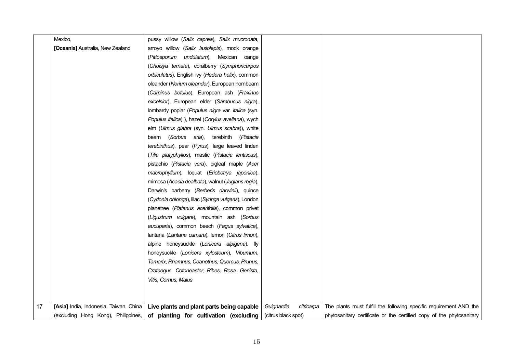|    | Mexico.                                | pussy willow (Salix caprea), Salix mucronata,       |                          |                                                                      |
|----|----------------------------------------|-----------------------------------------------------|--------------------------|----------------------------------------------------------------------|
|    | [Oceania] Australia, New Zealand       | arroyo willow (Salix lasiolepis), mock orange       |                          |                                                                      |
|    |                                        | (Pittosporum undulatum), Mexican oange              |                          |                                                                      |
|    |                                        | (Choisya ternata), coralberry (Symphoricarpos       |                          |                                                                      |
|    |                                        | orbiculatus), English ivy (Hedera helix), common    |                          |                                                                      |
|    |                                        | oleander (Nerium oleander), European hornbeam       |                          |                                                                      |
|    |                                        | (Carpinus betulus), European ash (Fraxinus          |                          |                                                                      |
|    |                                        | excelsior), European elder (Sambucus nigra),        |                          |                                                                      |
|    |                                        | lombardy poplar (Populus nigra var. italica (syn.   |                          |                                                                      |
|    |                                        | Populus italica) ), hazel (Corylus avellana), wych  |                          |                                                                      |
|    |                                        | elm (Ulmus glabra (syn. Ulmus scabra)), white       |                          |                                                                      |
|    |                                        | beam (Sorbus aria), terebinth (Pistacia             |                          |                                                                      |
|    |                                        | terebinthus), pear (Pyrus), large leaved linden     |                          |                                                                      |
|    |                                        | (Tilia platyphyllos), mastic (Pistacia lentiscus),  |                          |                                                                      |
|    |                                        | pistachio (Pistacia vera), bigleaf maple (Acer      |                          |                                                                      |
|    |                                        | macrophyllum), loquat (Eriobotrya japonica),        |                          |                                                                      |
|    |                                        | mimosa (Acacia dealbata), walnut (Juglans regia),   |                          |                                                                      |
|    |                                        | Darwin's barberry (Berberis darwinii), quince       |                          |                                                                      |
|    |                                        | (Cydonia oblonga), lilac (Syringa vulgaris), London |                          |                                                                      |
|    |                                        | planetree (Platanus acerifolia), common privet      |                          |                                                                      |
|    |                                        | (Ligustrum vulgare), mountain ash (Sorbus           |                          |                                                                      |
|    |                                        | aucuparia), common beech (Fagus sylvatica),         |                          |                                                                      |
|    |                                        | lantana (Lantana camara), lemon (Citrus limon),     |                          |                                                                      |
|    |                                        | alpine honeysuckle (Lonicera alpigena), fly         |                          |                                                                      |
|    |                                        | honeysuckle (Lonicera xylosteum), Viburnum,         |                          |                                                                      |
|    |                                        | Tamarix, Rhamnus, Ceanothus, Quercus, Prunus,       |                          |                                                                      |
|    |                                        | Crataegus, Cotoneaster, Ribes, Rosa, Genista,       |                          |                                                                      |
|    |                                        | Vitis, Cornus, Malus                                |                          |                                                                      |
|    |                                        |                                                     |                          |                                                                      |
|    |                                        |                                                     |                          |                                                                      |
| 17 | [Asia] India, Indonesia, Taiwan, China | Live plants and plant parts being capable           | Guignardia<br>citricarpa | The plants must fulfill the following specific requirement AND the   |
|    | (excluding Hong Kong), Philippines,    | of planting for cultivation (excluding              | (citrus black spot)      | phytosanitary certificate or the certified copy of the phytosanitary |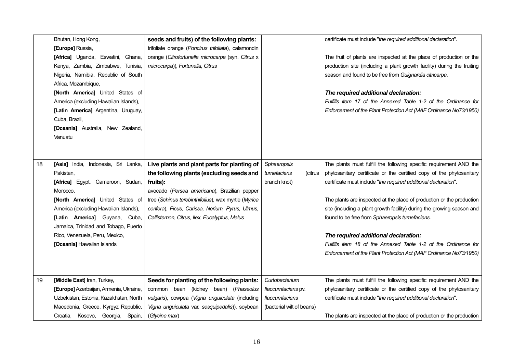|    | Bhutan, Hong Kong,                     | seeds and fruits) of the following plants:          |                           | certificate must include "the required additional declaration".         |
|----|----------------------------------------|-----------------------------------------------------|---------------------------|-------------------------------------------------------------------------|
|    | [Europe] Russia,                       | trifoliate orange (Poncirus trifoliata), calamondin |                           |                                                                         |
|    | [Africa] Uganda, Eswatini, Ghana,      | orange (Citrofortunella microcarpa (syn. Citrus x   |                           | The fruit of plants are inspected at the place of production or the     |
|    | Kenya, Zambia, Zimbabwe, Tunisia,      | microcarpa)), Fortunella, Citrus                    |                           | production site (including a plant growth facility) during the fruiting |
|    | Nigeria, Namibia, Republic of South    |                                                     |                           | season and found to be free from Guignardia citricarpa.                 |
|    | Africa, Mozambique,                    |                                                     |                           |                                                                         |
|    | [North America] United States of       |                                                     |                           | The required additional declaration:                                    |
|    | America (excluding Hawaiian Islands),  |                                                     |                           | Fulfills item 17 of the Annexed Table 1-2 of the Ordinance for          |
|    | [Latin America] Argentina, Uruguay,    |                                                     |                           | Enforcement of the Plant Protection Act (MAF Ordinance No73/1950)       |
|    | Cuba, Brazil,                          |                                                     |                           |                                                                         |
|    | [Oceania] Australia, New Zealand,      |                                                     |                           |                                                                         |
|    | Vanuatu                                |                                                     |                           |                                                                         |
|    |                                        |                                                     |                           |                                                                         |
|    |                                        |                                                     |                           |                                                                         |
| 18 | [Asia] India, Indonesia, Sri Lanka,    | Live plants and plant parts for planting of         | Sphaeropsis               | The plants must fulfill the following specific requirement AND the      |
|    | Pakistan,                              | the following plants (excluding seeds and           | tumefaciens<br>(citrus    | phytosanitary certificate or the certified copy of the phytosanitary    |
|    | [Africa] Egypt, Cameroon, Sudan,       | fruits):                                            | branch knot)              | certificate must include "the required additional declaration".         |
|    | Morocco,                               | avocado (Persea americana), Brazilian pepper        |                           |                                                                         |
|    | [North America] United States of       | tree (Schinus terebinthifolius), wax myrtle (Myrica |                           | The plants are inspected at the place of production or the production   |
|    | America (excluding Hawaiian Islands),  | cerifera), Ficus, Carissa, Nerium, Pyrus, Ulmus,    |                           | site (including a plant growth facility) during the growing season and  |
|    | [Latin America] Guyana, Cuba,          | Callistemon, Citrus, Ilex, Eucalyptus, Malus        |                           | found to be free from Sphaeropsis tumefaciens.                          |
|    | Jamaica, Trinidad and Tobago, Puerto   |                                                     |                           |                                                                         |
|    | Rico, Venezuela, Peru, Mexico,         |                                                     |                           | The required additional declaration:                                    |
|    | [Oceania] Hawaiian Islands             |                                                     |                           | Fulfills item 18 of the Annexed Table 1-2 of the Ordinance for          |
|    |                                        |                                                     |                           | Enforcement of the Plant Protection Act (MAF Ordinance No73/1950)       |
|    |                                        |                                                     |                           |                                                                         |
|    |                                        |                                                     |                           |                                                                         |
| 19 | [Middle East] Iran, Turkey,            | Seeds for planting of the following plants:         | Curtobacterium            | The plants must fulfill the following specific requirement AND the      |
|    | [Europe] Azerbaijan, Armenia, Ukraine, | common bean (kidney bean) (Phaseolus                | flaccumfaciens pv.        | phytosanitary certificate or the certified copy of the phytosanitary    |
|    | Uzbekistan, Estonia, Kazakhstan, North | vulgaris), cowpea (Vigna unguiculata (including     | flaccumfaciens            | certificate must include "the required additional declaration".         |
|    | Macedonia, Greece, Kyrgyz Republic,    | Vigna unguiculata var. sesquipedalis)), soybean     | (bacterial wilt of beans) |                                                                         |
|    | Croatia, Kosovo, Georgia, Spain,       | (Glycine max)                                       |                           | The plants are inspected at the place of production or the production   |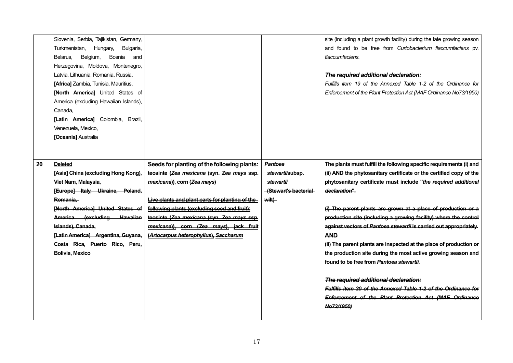|    | Slovenia, Serbia, Tajikistan, Germany, |                                                 |                       | site (including a plant growth facility) during the late growing season |
|----|----------------------------------------|-------------------------------------------------|-----------------------|-------------------------------------------------------------------------|
|    | Turkmenistan, Hungary,<br>Bulgaria,    |                                                 |                       | and found to be free from Curtobacterium flaccumfaciens pv.             |
|    | Bosnia<br>Belgium,<br>Belarus,<br>and  |                                                 |                       | flaccumfaciens.                                                         |
|    | Herzegovina, Moldova, Montenegro,      |                                                 |                       |                                                                         |
|    | Latvia, Lithuania, Romania, Russia,    |                                                 |                       | The required additional declaration:                                    |
|    | [Africa] Zambia, Tunisia, Mauritius,   |                                                 |                       | Fulfills item 19 of the Annexed Table 1-2 of the Ordinance for          |
|    | [North America] United States of       |                                                 |                       | Enforcement of the Plant Protection Act (MAF Ordinance No73/1950)       |
|    | America (excluding Hawaiian Islands),  |                                                 |                       |                                                                         |
|    | Canada,                                |                                                 |                       |                                                                         |
|    | [Latin America] Colombia, Brazil,      |                                                 |                       |                                                                         |
|    | Venezuela, Mexico,                     |                                                 |                       |                                                                         |
|    | [Oceania] Australia                    |                                                 |                       |                                                                         |
|    |                                        |                                                 |                       |                                                                         |
|    |                                        |                                                 |                       |                                                                         |
| 20 | <b>Deleted</b>                         | Seeds for planting of the following plants:     | Pantoea               | The plants must fulfill the following specific requirements (i) and     |
|    | [Asia] China (excluding Hong Kong),    | teosinte (Zea mexicana (syn. Zea mays ssp.      | stewartiisubsp.       | (ii) AND the phytosanitary certificate or the certified copy of the     |
|    | Viet Nam, Malaysia,                    | mexicana)), corn (Zea mays)                     | stewartii             | phytosanitary certificate must include "the required additional         |
|    | [Europe] Italy, Ukraine, Poland,       |                                                 | -(Stewart's bacterial | declaration".                                                           |
|    | Romania,                               | Live plants and plant parts for planting of the | wilt)                 |                                                                         |
|    | [North America] United States of       | following plants (excluding seed and fruit):    |                       | (i) The parent plants are grown at a place of production or a           |
|    | America (excluding Hawaiian            | teosinte (Zea mexicana (syn. Zea mays ssp.      |                       | production site (including a growing facility) where the control        |
|    | Islands), Canada,-                     | mexicana)), corn (Zea mays), jack fruit         |                       | against vectors of Pantoea stewartii is carried out appropriately.      |
|    | [Latin America] Argentina, Guyana,     |                                                 |                       |                                                                         |
|    |                                        | (Artocarpus heterophyllus), Saccharum           |                       | <b>AND</b>                                                              |
|    | Costa Rica, Puerto Rico, Peru,         |                                                 |                       | (ii) The parent plants are inspected at the place of production or      |
|    | Bolivia, Mexico                        |                                                 |                       | the production site during the most active growing season and           |
|    |                                        |                                                 |                       | found to be free from Pantoea stewartii.                                |
|    |                                        |                                                 |                       |                                                                         |
|    |                                        |                                                 |                       | The required additional declaration:                                    |
|    |                                        |                                                 |                       | Fulfills item 20 of the Annexed Table 1-2 of the Ordinance for          |
|    |                                        |                                                 |                       | Enforcement of the Plant Protection Act (MAF Ordinance                  |
|    |                                        |                                                 |                       | No73/1950)                                                              |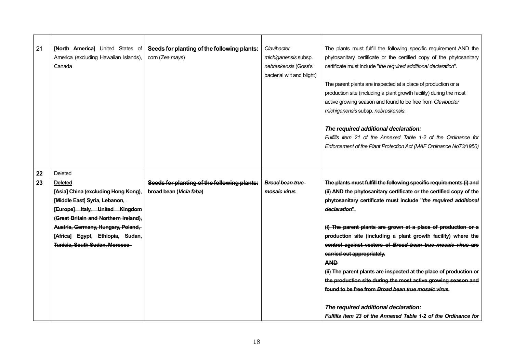| 21 | [North America] United States of      | Seeds for planting of the following plants: | Clavibacter                | The plants must fulfill the following specific requirement AND the   |
|----|---------------------------------------|---------------------------------------------|----------------------------|----------------------------------------------------------------------|
|    | America (excluding Hawaiian Islands), | corn (Zea mays)                             | michiganensis subsp.       | phytosanitary certificate or the certified copy of the phytosanitary |
|    | Canada                                |                                             | nebraskensis (Goss's       | certificate must include "the required additional declaration".      |
|    |                                       |                                             | bacterial wilt and blight) |                                                                      |
|    |                                       |                                             |                            | The parent plants are inspected at a place of production or a        |
|    |                                       |                                             |                            | production site (including a plant growth facility) during the most  |
|    |                                       |                                             |                            | active growing season and found to be free from Clavibacter          |
|    |                                       |                                             |                            | michiganensis subsp. nebraskensis.                                   |
|    |                                       |                                             |                            | The required additional declaration:                                 |
|    |                                       |                                             |                            | Fulfills item 21 of the Annexed Table 1-2 of the Ordinance for       |
|    |                                       |                                             |                            | Enforcement of the Plant Protection Act (MAF Ordinance No73/1950)    |
|    |                                       |                                             |                            |                                                                      |
|    |                                       |                                             |                            |                                                                      |
| 22 | Deleted                               |                                             |                            |                                                                      |
|    |                                       |                                             |                            |                                                                      |
| 23 | <b>Deleted</b>                        | Seeds for planting of the following plants: | <b>Broad bean true</b>     | The plants must fulfill the following specific requirements (i) and  |
|    | [Asia] China (excluding Hong Kong),   | broad bean (Vicia faba)                     | mosaic virus               | (ii) AND the phytosanitary certificate or the certified copy of the  |
|    | [Middle East] Syria, Lebanon,         |                                             |                            | phytosanitary certificate must include "the required additional      |
|    | [Europe] Italy, United Kingdom        |                                             |                            | declaration".                                                        |
|    | (Great Britain and Northern Ireland), |                                             |                            |                                                                      |
|    | Austria, Germany, Hungary, Poland,    |                                             |                            | (i) The parent plants are grown at a place of production or a        |
|    | [Africa] Egypt, Ethiopia, Sudan,      |                                             |                            | production site (including a plant growth facility) where the        |
|    | Tunisia, South Sudan, Morocco-        |                                             |                            | control against vectors of Broad bean true mosaic virus are          |
|    |                                       |                                             |                            | carried out appropriately.                                           |
|    |                                       |                                             |                            | <b>AND</b>                                                           |
|    |                                       |                                             |                            | (ii) The parent plants are inspected at the place of production or   |
|    |                                       |                                             |                            | the production site during the most active growing season and        |
|    |                                       |                                             |                            | found to be free from Broad bean true mosaic virus.                  |
|    |                                       |                                             |                            | The required additional declaration:                                 |